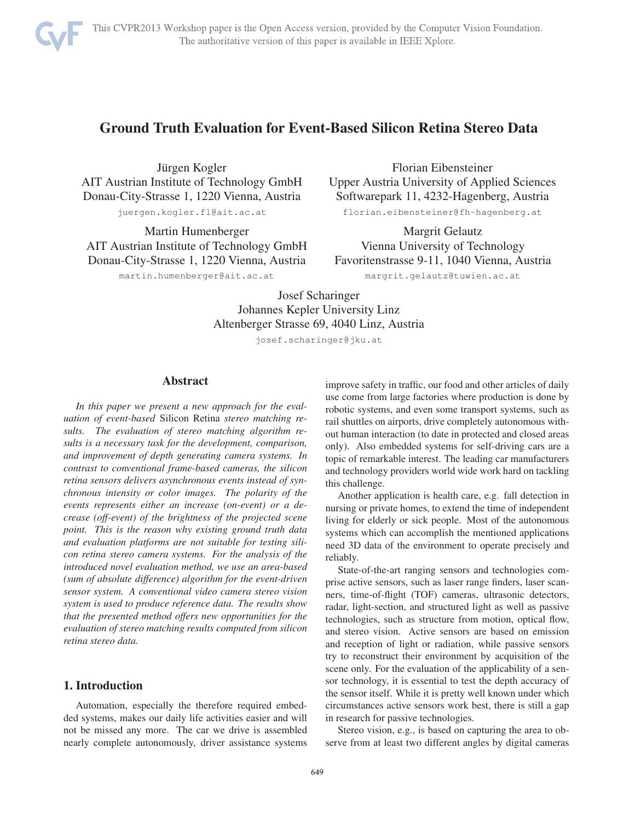

# Ground Truth Evaluation for Event-Based Silicon Retina Stereo Data

Jürgen Kogler AIT Austrian Institute of Technology GmbH Donau-City-Strasse 1, 1220 Vienna, Austria juergen.kogler.fl@ait.ac.at

Martin Humenberger AIT Austrian Institute of Technology GmbH Donau-City-Strasse 1, 1220 Vienna, Austria

martin.humenberger@ait.ac.at

Florian Eibensteiner Upper Austria University of Applied Sciences Softwarepark 11, 4232-Hagenberg, Austria florian.eibensteiner@fh-hagenberg.at

Margrit Gelautz Vienna University of Technology Favoritenstrasse 9-11, 1040 Vienna, Austria

margrit.gelautz@tuwien.ac.at

Josef Scharinger Johannes Kepler University Linz Altenberger Strasse 69, 4040 Linz, Austria

josef.scharinger@jku.at

### Abstract

*In this paper we present a new approach for the evaluation of event-based* Silicon Retina *stereo matching results. The evaluation of stereo matching algorithm results is a necessary task for the development, comparison, and improvement of depth generating camera systems. In contrast to conventional frame-based cameras, the silicon retina sensors delivers asynchronous events instead of synchronous intensity or color images. The polarity of the events represents either an increase (on-event) or a decrease (off-event) of the brightness of the projected scene point. This is the reason why existing ground truth data and evaluation platforms are not suitable for testing silicon retina stereo camera systems. For the analysis of the introduced novel evaluation method, we use an area-based (sum of absolute difference) algorithm for the event-driven sensor system. A conventional video camera stereo vision system is used to produce reference data. The results show that the presented method offers new opportunities for the evaluation of stereo matching results computed from silicon retina stereo data.*

# 1. Introduction

Automation, especially the therefore required embedded systems, makes our daily life activities easier and will not be missed any more. The car we drive is assembled nearly complete autonomously, driver assistance systems improve safety in traffic, our food and other articles of daily use come from large factories where production is done by robotic systems, and even some transport systems, such as rail shuttles on airports, drive completely autonomous without human interaction (to date in protected and closed areas only). Also embedded systems for self-driving cars are a topic of remarkable interest. The leading car manufacturers and technology providers world wide work hard on tackling this challenge.

Another application is health care, e.g. fall detection in nursing or private homes, to extend the time of independent living for elderly or sick people. Most of the autonomous systems which can accomplish the mentioned applications need 3D data of the environment to operate precisely and reliably.

State-of-the-art ranging sensors and technologies comprise active sensors, such as laser range finders, laser scanners, time-of-flight (TOF) cameras, ultrasonic detectors, radar, light-section, and structured light as well as passive technologies, such as structure from motion, optical flow, and stereo vision. Active sensors are based on emission and reception of light or radiation, while passive sensors try to reconstruct their environment by acquisition of the scene only. For the evaluation of the applicability of a sensor technology, it is essential to test the depth accuracy of the sensor itself. While it is pretty well known under which circumstances active sensors work best, there is still a gap in research for passive technologies.

Stereo vision, e.g., is based on capturing the area to observe from at least two different angles by digital cameras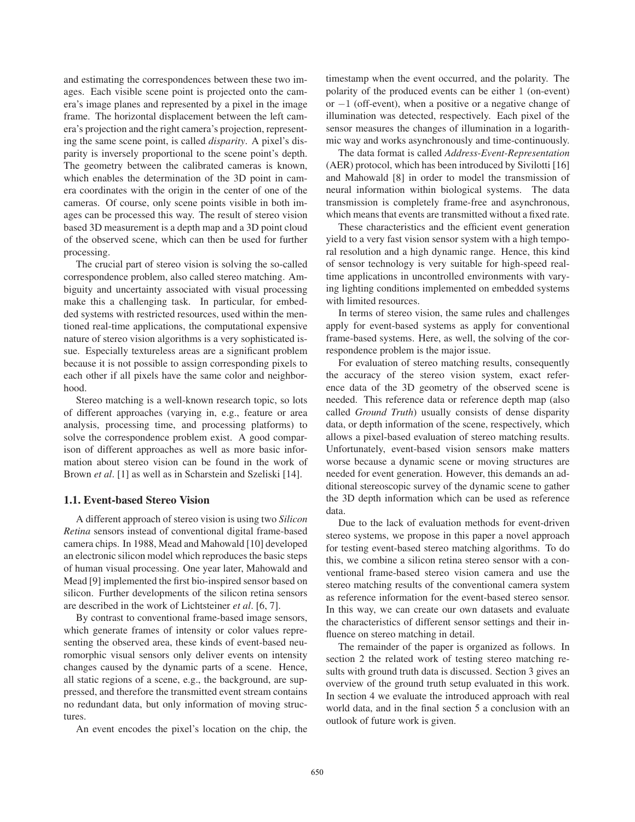and estimating the correspondences between these two images. Each visible scene point is projected onto the camera's image planes and represented by a pixel in the image frame. The horizontal displacement between the left camera's projection and the right camera's projection, representing the same scene point, is called *disparity*. A pixel's disparity is inversely proportional to the scene point's depth. The geometry between the calibrated cameras is known, which enables the determination of the 3D point in camera coordinates with the origin in the center of one of the cameras. Of course, only scene points visible in both images can be processed this way. The result of stereo vision based 3D measurement is a depth map and a 3D point cloud of the observed scene, which can then be used for further processing.

The crucial part of stereo vision is solving the so-called correspondence problem, also called stereo matching. Ambiguity and uncertainty associated with visual processing make this a challenging task. In particular, for embedded systems with restricted resources, used within the mentioned real-time applications, the computational expensive nature of stereo vision algorithms is a very sophisticated issue. Especially textureless areas are a significant problem because it is not possible to assign corresponding pixels to each other if all pixels have the same color and neighborhood.

Stereo matching is a well-known research topic, so lots of different approaches (varying in, e.g., feature or area analysis, processing time, and processing platforms) to solve the correspondence problem exist. A good comparison of different approaches as well as more basic information about stereo vision can be found in the work of Brown *et al*. [1] as well as in Scharstein and Szeliski [14].

#### 1.1. Event-based Stereo Vision

A different approach of stereo vision is using two *Silicon Retina* sensors instead of conventional digital frame-based camera chips. In 1988, Mead and Mahowald [10] developed an electronic silicon model which reproduces the basic steps of human visual processing. One year later, Mahowald and Mead [9] implemented the first bio-inspired sensor based on silicon. Further developments of the silicon retina sensors are described in the work of Lichtsteiner *et al*. [6, 7].

By contrast to conventional frame-based image sensors, which generate frames of intensity or color values representing the observed area, these kinds of event-based neuromorphic visual sensors only deliver events on intensity changes caused by the dynamic parts of a scene. Hence, all static regions of a scene, e.g., the background, are suppressed, and therefore the transmitted event stream contains no redundant data, but only information of moving structures.

An event encodes the pixel's location on the chip, the

timestamp when the event occurred, and the polarity. The polarity of the produced events can be either 1 (on-event) or −1 (off-event), when a positive or a negative change of illumination was detected, respectively. Each pixel of the sensor measures the changes of illumination in a logarithmic way and works asynchronously and time-continuously.

The data format is called *Address-Event-Representation* (AER) protocol, which has been introduced by Sivilotti [16] and Mahowald [8] in order to model the transmission of neural information within biological systems. The data transmission is completely frame-free and asynchronous, which means that events are transmitted without a fixed rate.

These characteristics and the efficient event generation yield to a very fast vision sensor system with a high temporal resolution and a high dynamic range. Hence, this kind of sensor technology is very suitable for high-speed realtime applications in uncontrolled environments with varying lighting conditions implemented on embedded systems with limited resources.

In terms of stereo vision, the same rules and challenges apply for event-based systems as apply for conventional frame-based systems. Here, as well, the solving of the correspondence problem is the major issue.

For evaluation of stereo matching results, consequently the accuracy of the stereo vision system, exact reference data of the 3D geometry of the observed scene is needed. This reference data or reference depth map (also called *Ground Truth*) usually consists of dense disparity data, or depth information of the scene, respectively, which allows a pixel-based evaluation of stereo matching results. Unfortunately, event-based vision sensors make matters worse because a dynamic scene or moving structures are needed for event generation. However, this demands an additional stereoscopic survey of the dynamic scene to gather the 3D depth information which can be used as reference data.

Due to the lack of evaluation methods for event-driven stereo systems, we propose in this paper a novel approach for testing event-based stereo matching algorithms. To do this, we combine a silicon retina stereo sensor with a conventional frame-based stereo vision camera and use the stereo matching results of the conventional camera system as reference information for the event-based stereo sensor. In this way, we can create our own datasets and evaluate the characteristics of different sensor settings and their influence on stereo matching in detail.

The remainder of the paper is organized as follows. In section 2 the related work of testing stereo matching results with ground truth data is discussed. Section 3 gives an overview of the ground truth setup evaluated in this work. In section 4 we evaluate the introduced approach with real world data, and in the final section 5 a conclusion with an outlook of future work is given.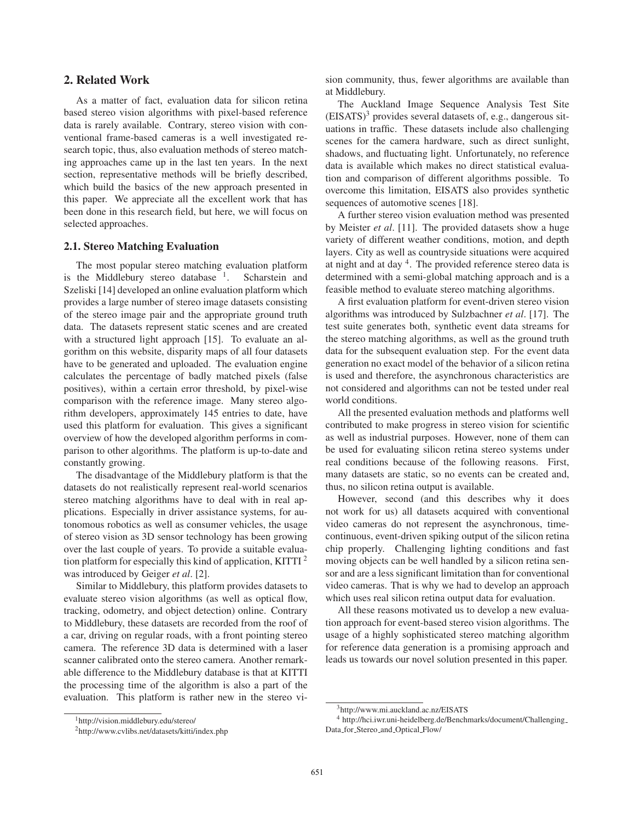# 2. Related Work

As a matter of fact, evaluation data for silicon retina based stereo vision algorithms with pixel-based reference data is rarely available. Contrary, stereo vision with conventional frame-based cameras is a well investigated research topic, thus, also evaluation methods of stereo matching approaches came up in the last ten years. In the next section, representative methods will be briefly described, which build the basics of the new approach presented in this paper. We appreciate all the excellent work that has been done in this research field, but here, we will focus on selected approaches.

#### 2.1. Stereo Matching Evaluation

The most popular stereo matching evaluation platform is the Middlebury stereo database  $1$ . Scharstein and Szeliski [14] developed an online evaluation platform which provides a large number of stereo image datasets consisting of the stereo image pair and the appropriate ground truth data. The datasets represent static scenes and are created with a structured light approach [15]. To evaluate an algorithm on this website, disparity maps of all four datasets have to be generated and uploaded. The evaluation engine calculates the percentage of badly matched pixels (false positives), within a certain error threshold, by pixel-wise comparison with the reference image. Many stereo algorithm developers, approximately 145 entries to date, have used this platform for evaluation. This gives a significant overview of how the developed algorithm performs in comparison to other algorithms. The platform is up-to-date and constantly growing.

The disadvantage of the Middlebury platform is that the datasets do not realistically represent real-world scenarios stereo matching algorithms have to deal with in real applications. Especially in driver assistance systems, for autonomous robotics as well as consumer vehicles, the usage of stereo vision as 3D sensor technology has been growing over the last couple of years. To provide a suitable evaluation platform for especially this kind of application, KITTI  $2$ was introduced by Geiger *et al*. [2].

Similar to Middlebury, this platform provides datasets to evaluate stereo vision algorithms (as well as optical flow, tracking, odometry, and object detection) online. Contrary to Middlebury, these datasets are recorded from the roof of a car, driving on regular roads, with a front pointing stereo camera. The reference 3D data is determined with a laser scanner calibrated onto the stereo camera. Another remarkable difference to the Middlebury database is that at KITTI the processing time of the algorithm is also a part of the evaluation. This platform is rather new in the stereo vision community, thus, fewer algorithms are available than at Middlebury.

The Auckland Image Sequence Analysis Test Site  $(EISATS)^3$  provides several datasets of, e.g., dangerous situations in traffic. These datasets include also challenging scenes for the camera hardware, such as direct sunlight, shadows, and fluctuating light. Unfortunately, no reference data is available which makes no direct statistical evaluation and comparison of different algorithms possible. To overcome this limitation, EISATS also provides synthetic sequences of automotive scenes [18].

A further stereo vision evaluation method was presented by Meister *et al*. [11]. The provided datasets show a huge variety of different weather conditions, motion, and depth layers. City as well as countryside situations were acquired at night and at day  $4$ . The provided reference stereo data is determined with a semi-global matching approach and is a feasible method to evaluate stereo matching algorithms.

A first evaluation platform for event-driven stereo vision algorithms was introduced by Sulzbachner *et al*. [17]. The test suite generates both, synthetic event data streams for the stereo matching algorithms, as well as the ground truth data for the subsequent evaluation step. For the event data generation no exact model of the behavior of a silicon retina is used and therefore, the asynchronous characteristics are not considered and algorithms can not be tested under real world conditions.

All the presented evaluation methods and platforms well contributed to make progress in stereo vision for scientific as well as industrial purposes. However, none of them can be used for evaluating silicon retina stereo systems under real conditions because of the following reasons. First, many datasets are static, so no events can be created and, thus, no silicon retina output is available.

However, second (and this describes why it does not work for us) all datasets acquired with conventional video cameras do not represent the asynchronous, timecontinuous, event-driven spiking output of the silicon retina chip properly. Challenging lighting conditions and fast moving objects can be well handled by a silicon retina sensor and are a less significant limitation than for conventional video cameras. That is why we had to develop an approach which uses real silicon retina output data for evaluation.

All these reasons motivated us to develop a new evaluation approach for event-based stereo vision algorithms. The usage of a highly sophisticated stereo matching algorithm for reference data generation is a promising approach and leads us towards our novel solution presented in this paper.

<sup>1</sup>http://vision.middlebury.edu/stereo/

<sup>2</sup>http://www.cvlibs.net/datasets/kitti/index.php

<sup>3</sup>http://www.mi.auckland.ac.nz/EISATS

<sup>4</sup> http://hci.iwr.uni-heidelberg.de/Benchmarks/document/Challenging Data for Stereo and Optical Flow/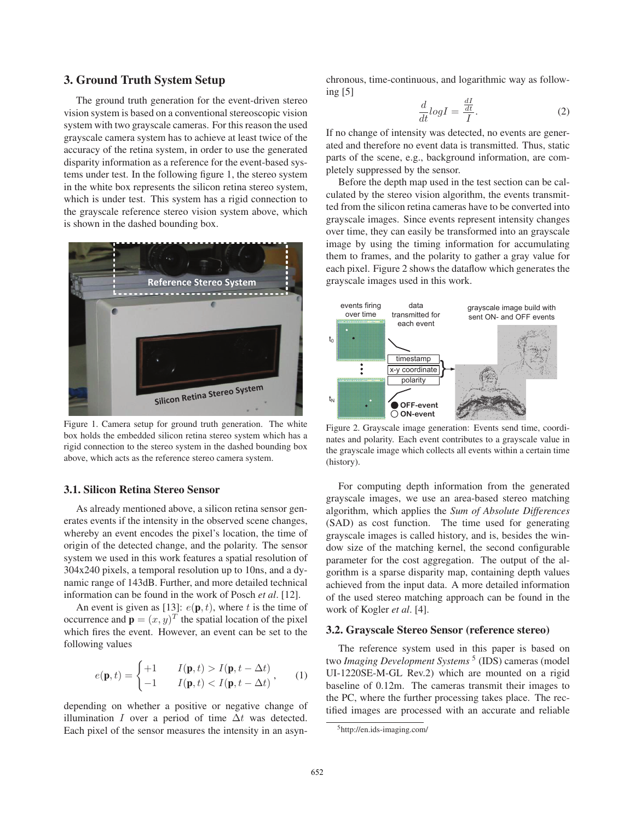# 3. Ground Truth System Setup

The ground truth generation for the event-driven stereo vision system is based on a conventional stereoscopic vision system with two grayscale cameras. For this reason the used grayscale camera system has to achieve at least twice of the accuracy of the retina system, in order to use the generated disparity information as a reference for the event-based systems under test. In the following figure 1, the stereo system in the white box represents the silicon retina stereo system, which is under test. This system has a rigid connection to the grayscale reference stereo vision system above, which is shown in the dashed bounding box.



Figure 1. Camera setup for ground truth generation. The white box holds the embedded silicon retina stereo system which has a rigid connection to the stereo system in the dashed bounding box above, which acts as the reference stereo camera system.

# 3.1. Silicon Retina Stereo Sensor

As already mentioned above, a silicon retina sensor generates events if the intensity in the observed scene changes, whereby an event encodes the pixel's location, the time of origin of the detected change, and the polarity. The sensor system we used in this work features a spatial resolution of 304x240 pixels, a temporal resolution up to 10ns, and a dynamic range of 143dB. Further, and more detailed technical information can be found in the work of Posch *et al*. [12].

An event is given as [13]:  $e(\mathbf{p}, t)$ , where t is the time of occurrence and  $\mathbf{p} = (x, y)^T$  the spatial location of the pixel which fires the event. However, an event can be set to the following values

$$
e(\mathbf{p},t) = \begin{cases} +1 & I(\mathbf{p},t) > I(\mathbf{p},t-\Delta t) \\ -1 & I(\mathbf{p},t) < I(\mathbf{p},t-\Delta t) \end{cases}, \qquad (1)
$$

depending on whether a positive or negative change of illumination I over a period of time  $\Delta t$  was detected. Each pixel of the sensor measures the intensity in an asynchronous, time-continuous, and logarithmic way as following [5]

$$
\frac{d}{dt}\log I = \frac{\frac{dI}{dt}}{I}.\tag{2}
$$

If no change of intensity was detected, no events are generated and therefore no event data is transmitted. Thus, static parts of the scene, e.g., background information, are completely suppressed by the sensor.

Before the depth map used in the test section can be calculated by the stereo vision algorithm, the events transmitted from the silicon retina cameras have to be converted into grayscale images. Since events represent intensity changes over time, they can easily be transformed into an grayscale image by using the timing information for accumulating them to frames, and the polarity to gather a gray value for each pixel. Figure 2 shows the dataflow which generates the grayscale images used in this work.



Figure 2. Grayscale image generation: Events send time, coordinates and polarity. Each event contributes to a grayscale value in the grayscale image which collects all events within a certain time (history).

For computing depth information from the generated grayscale images, we use an area-based stereo matching algorithm, which applies the *Sum of Absolute Differences* (SAD) as cost function. The time used for generating grayscale images is called history, and is, besides the window size of the matching kernel, the second configurable parameter for the cost aggregation. The output of the algorithm is a sparse disparity map, containing depth values achieved from the input data. A more detailed information of the used stereo matching approach can be found in the work of Kogler *et al*. [4].

#### 3.2. Grayscale Stereo Sensor (reference stereo)

The reference system used in this paper is based on two *Imaging Development Systems*<sup>5</sup> (IDS) cameras (model UI-1220SE-M-GL Rev.2) which are mounted on a rigid baseline of 0.12m. The cameras transmit their images to the PC, where the further processing takes place. The rectified images are processed with an accurate and reliable

<sup>5</sup>http://en.ids-imaging.com/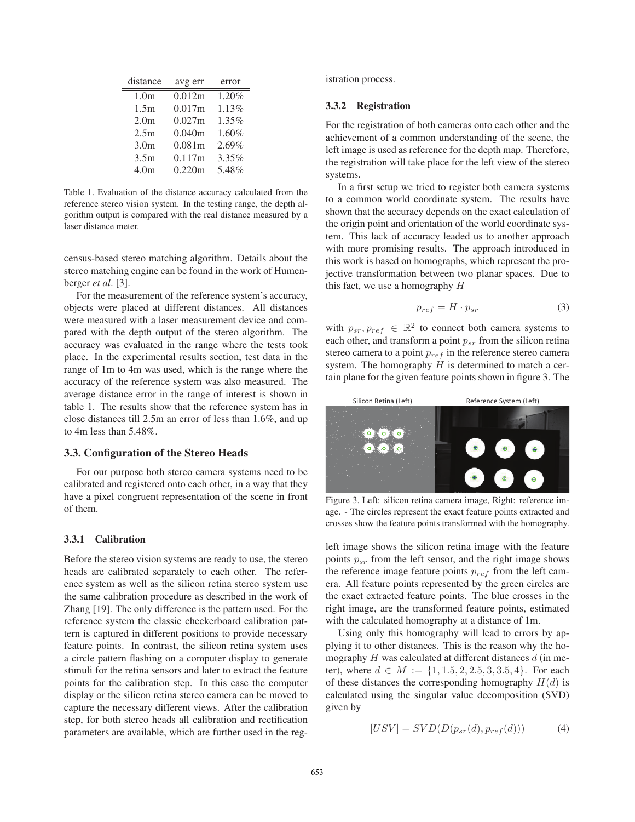| distance         | avg err | error |
|------------------|---------|-------|
| 1.0 <sub>m</sub> | 0.012m  | 1.20% |
| 1.5m             | 0.017m  | 1.13% |
| 2.0 <sub>m</sub> | 0.027m  | 1.35% |
| 2.5m             | 0.040m  | 1.60% |
| 3.0 <sub>m</sub> | 0.081m  | 2.69% |
| 3.5m             | 0.117m  | 3.35% |
| 4.0 <sub>m</sub> | 0.220m  | 5.48% |

Table 1. Evaluation of the distance accuracy calculated from the reference stereo vision system. In the testing range, the depth algorithm output is compared with the real distance measured by a laser distance meter.

census-based stereo matching algorithm. Details about the stereo matching engine can be found in the work of Humenberger *et al*. [3].

For the measurement of the reference system's accuracy, objects were placed at different distances. All distances were measured with a laser measurement device and compared with the depth output of the stereo algorithm. The accuracy was evaluated in the range where the tests took place. In the experimental results section, test data in the range of 1m to 4m was used, which is the range where the accuracy of the reference system was also measured. The average distance error in the range of interest is shown in table 1. The results show that the reference system has in close distances till 2.5m an error of less than 1.6%, and up to 4m less than 5.48%.

#### 3.3. Configuration of the Stereo Heads

For our purpose both stereo camera systems need to be calibrated and registered onto each other, in a way that they have a pixel congruent representation of the scene in front of them.

#### 3.3.1 Calibration

Before the stereo vision systems are ready to use, the stereo heads are calibrated separately to each other. The reference system as well as the silicon retina stereo system use the same calibration procedure as described in the work of Zhang [19]. The only difference is the pattern used. For the reference system the classic checkerboard calibration pattern is captured in different positions to provide necessary feature points. In contrast, the silicon retina system uses a circle pattern flashing on a computer display to generate stimuli for the retina sensors and later to extract the feature points for the calibration step. In this case the computer display or the silicon retina stereo camera can be moved to capture the necessary different views. After the calibration step, for both stereo heads all calibration and rectification parameters are available, which are further used in the registration process.

### 3.3.2 Registration

For the registration of both cameras onto each other and the achievement of a common understanding of the scene, the left image is used as reference for the depth map. Therefore, the registration will take place for the left view of the stereo systems.

In a first setup we tried to register both camera systems to a common world coordinate system. The results have shown that the accuracy depends on the exact calculation of the origin point and orientation of the world coordinate system. This lack of accuracy leaded us to another approach with more promising results. The approach introduced in this work is based on homographs, which represent the projective transformation between two planar spaces. Due to this fact, we use a homography  $H$ 

$$
p_{ref} = H \cdot p_{sr} \tag{3}
$$

with  $p_{sr}, p_{ref} \in \mathbb{R}^2$  to connect both camera systems to each other, and transform a point  $p_{sr}$  from the silicon retina stereo camera to a point  $p_{ref}$  in the reference stereo camera system. The homography  $H$  is determined to match a certain plane for the given feature points shown in figure 3. The



Figure 3. Left: silicon retina camera image, Right: reference image. - The circles represent the exact feature points extracted and crosses show the feature points transformed with the homography.

left image shows the silicon retina image with the feature points  $p_{sr}$  from the left sensor, and the right image shows the reference image feature points  $p_{ref}$  from the left camera. All feature points represented by the green circles are the exact extracted feature points. The blue crosses in the right image, are the transformed feature points, estimated with the calculated homography at a distance of 1m.

Using only this homography will lead to errors by applying it to other distances. This is the reason why the homography  $H$  was calculated at different distances  $d$  (in meter), where  $d \in M := \{1, 1.5, 2, 2.5, 3, 3.5, 4\}$ . For each of these distances the corresponding homography  $H(d)$  is calculated using the singular value decomposition (SVD) given by

$$
[USV] = SVD(D(p_{sr}(d), p_{ref}(d)))
$$
\n(4)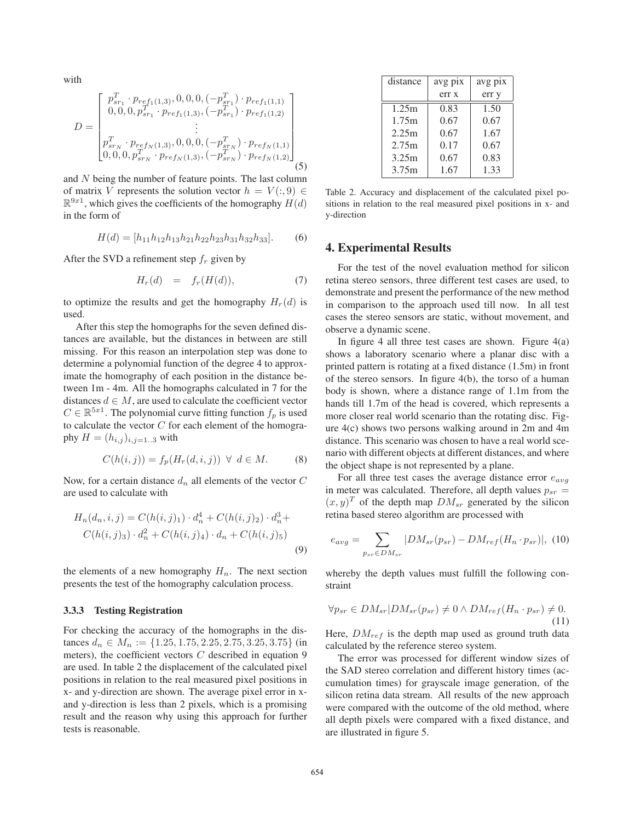with

$$
D = \begin{bmatrix} p_{sr_1}^T \cdot p_{ref_1(1,3)}, 0, 0, 0, (-p_{sr_1}^T) \cdot p_{ref_1(1,1)} \\ 0, 0, 0, p_{sr_1}^T \cdot p_{ref_1(1,3)}, (-p_{sr_1}^T) \cdot p_{ref_1(1,2)} \\ \vdots \\ p_{sr_N}^T \cdot p_{ref_N(1,3)}, 0, 0, 0, (-p_{sr_N}^T) \cdot p_{ref_N(1,1)} \\ 0, 0, 0, p_{sr_N}^T \cdot p_{ref_N(1,3)}, (-p_{sr_N}^T) \cdot p_{ref_N(1,2)} \end{bmatrix}
$$
(5)

and N being the number of feature points. The last column of matrix V represents the solution vector  $h = V(:, 9) \in$  $\mathbb{R}^{9x1}$ , which gives the coefficients of the homography  $H(d)$ in the form of

$$
H(d) = [h_{11}h_{12}h_{13}h_{21}h_{22}h_{23}h_{31}h_{32}h_{33}].
$$
 (6)

After the SVD a refinement step  $f_r$  given by

$$
H_r(d) = f_r(H(d)), \t\t(7)
$$

to optimize the results and get the homography  $H_r(d)$  is used.

After this step the homographs for the seven defined distances are available, but the distances in between are still missing. For this reason an interpolation step was done to determine a polynomial function of the degree 4 to approximate the homography of each position in the distance between 1m - 4m. All the homographs calculated in 7 for the distances  $d \in M$ , are used to calculate the coefficient vector  $C \in \mathbb{R}^{5x_1}$ . The polynomial curve fitting function  $f_p$  is used to calculate the vector  $C$  for each element of the homography  $H = (h_{i,j})_{i,j=1...3}$  with

$$
C(h(i,j)) = f_p(H_r(d,i,j)) \ \forall \ d \in M. \tag{8}
$$

Now, for a certain distance  $d_n$  all elements of the vector  $C$ are used to calculate with

$$
H_n(d_n, i, j) = C(h(i, j)_1) \cdot d_n^4 + C(h(i, j)_2) \cdot d_n^3 + C(h(i, j)_3) \cdot d_n^2 + C(h(i, j)_4) \cdot d_n + C(h(i, j)_5)
$$
\n
$$
(9)
$$

the elements of a new homography  $H_n$ . The next section presents the test of the homography calculation process.

### 3.3.3 Testing Registration

For checking the accuracy of the homographs in the distances  $d_n \in M_n := \{1.25, 1.75, 2.25, 2.75, 3.25, 3.75\}$  (in meters), the coefficient vectors  $C$  described in equation 9 are used. In table 2 the displacement of the calculated pixel positions in relation to the real measured pixel positions in x- and y-direction are shown. The average pixel error in xand y-direction is less than 2 pixels, which is a promising result and the reason why using this approach for further tests is reasonable.

| distance | avg pix | avg pix |
|----------|---------|---------|
|          | err x   | err y   |
| 1.25m    | 0.83    | 1.50    |
| 1.75m    | 0.67    | 0.67    |
| 2.25m    | 0.67    | 1.67    |
| 2.75m    | 0.17    | 0.67    |
| 3.25m    | 0.67    | 0.83    |
| 3.75m    | 1.67    | 1.33    |

Table 2. Accuracy and displacement of the calculated pixel positions in relation to the real measured pixel positions in x- and y-direction

## 4. Experimental Results

For the test of the novel evaluation method for silicon retina stereo sensors, three different test cases are used, to demonstrate and present the performance of the new method in comparison to the approach used till now. In all test cases the stereo sensors are static, without movement, and observe a dynamic scene.

In figure 4 all three test cases are shown. Figure  $4(a)$ shows a laboratory scenario where a planar disc with a printed pattern is rotating at a fixed distance (1.5m) in front of the stereo sensors. In figure 4(b), the torso of a human body is shown, where a distance range of 1.1m from the hands till 1.7m of the head is covered, which represents a more closer real world scenario than the rotating disc. Figure 4(c) shows two persons walking around in 2m and 4m distance. This scenario was chosen to have a real world scenario with different objects at different distances, and where the object shape is not represented by a plane.

For all three test cases the average distance error  $e_{avg}$ in meter was calculated. Therefore, all depth values  $p_{sr}$  =  $(x, y)^T$  of the depth map  $DM_{sr}$  generated by the silicon retina based stereo algorithm are processed with

$$
e_{avg} = \sum_{p_{sr} \in DM_{sr}} |DM_{sr}(p_{sr}) - DM_{ref}(H_n \cdot p_{sr})|, (10)
$$

whereby the depth values must fulfill the following constraint

$$
\forall p_{sr} \in DM_{sr} | DM_{sr}(p_{sr}) \neq 0 \land DM_{ref}(H_n \cdot p_{sr}) \neq 0.
$$
\n(11)

Here,  $DM_{ref}$  is the depth map used as ground truth data calculated by the reference stereo system.

The error was processed for different window sizes of the SAD stereo correlation and different history times (accumulation times) for grayscale image generation, of the silicon retina data stream. All results of the new approach were compared with the outcome of the old method, where all depth pixels were compared with a fixed distance, and are illustrated in figure 5.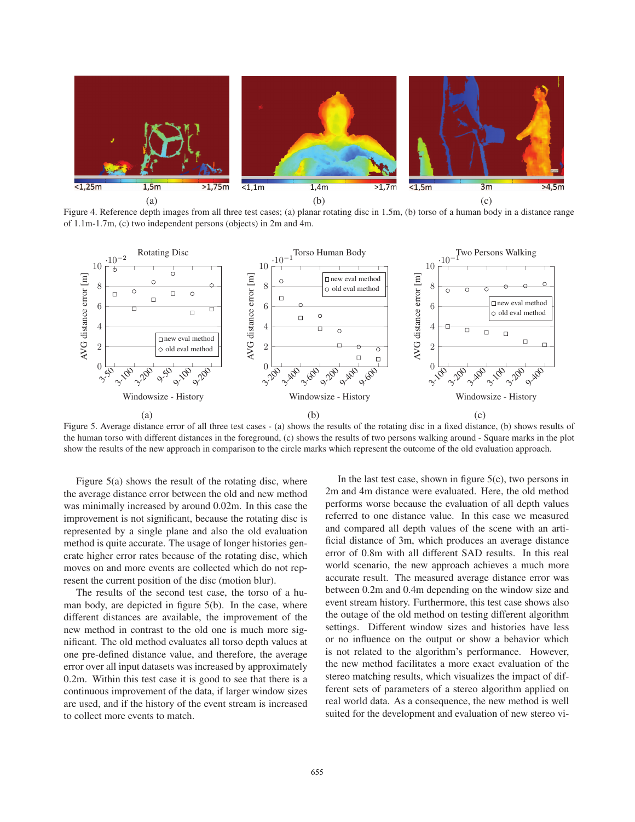

Figure 4. Reference depth images from all three test cases; (a) planar rotating disc in 1.5m, (b) torso of a human body in a distance range of 1.1m-1.7m, (c) two independent persons (objects) in 2m and 4m.



Figure 5. Average distance error of all three test cases - (a) shows the results of the rotating disc in a fixed distance, (b) shows results of the human torso with different distances in the foreground, (c) shows the results of two persons walking around - Square marks in the plot show the results of the new approach in comparison to the circle marks which represent the outcome of the old evaluation approach.

Figure 5(a) shows the result of the rotating disc, where the average distance error between the old and new method was minimally increased by around 0.02m. In this case the improvement is not significant, because the rotating disc is represented by a single plane and also the old evaluation method is quite accurate. The usage of longer histories generate higher error rates because of the rotating disc, which moves on and more events are collected which do not represent the current position of the disc (motion blur).

The results of the second test case, the torso of a human body, are depicted in figure 5(b). In the case, where different distances are available, the improvement of the new method in contrast to the old one is much more significant. The old method evaluates all torso depth values at one pre-defined distance value, and therefore, the average error over all input datasets was increased by approximately 0.2m. Within this test case it is good to see that there is a continuous improvement of the data, if larger window sizes are used, and if the history of the event stream is increased to collect more events to match.

In the last test case, shown in figure  $5(c)$ , two persons in 2m and 4m distance were evaluated. Here, the old method performs worse because the evaluation of all depth values referred to one distance value. In this case we measured and compared all depth values of the scene with an artificial distance of 3m, which produces an average distance error of 0.8m with all different SAD results. In this real world scenario, the new approach achieves a much more accurate result. The measured average distance error was between 0.2m and 0.4m depending on the window size and event stream history. Furthermore, this test case shows also the outage of the old method on testing different algorithm settings. Different window sizes and histories have less or no influence on the output or show a behavior which is not related to the algorithm's performance. However, the new method facilitates a more exact evaluation of the stereo matching results, which visualizes the impact of different sets of parameters of a stereo algorithm applied on real world data. As a consequence, the new method is well suited for the development and evaluation of new stereo vi